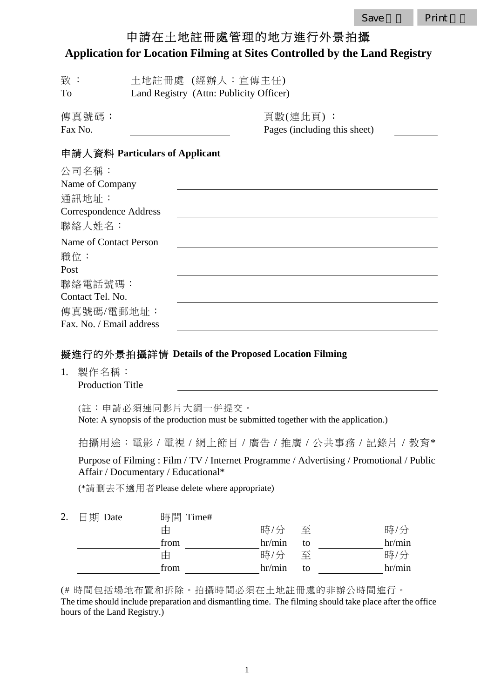| Save |
|------|
|------|

## 申請在土地註冊處管理的地方進行外景拍攝

# **Application for Location Filming at Sites Controlled by the Land Registry**

| 致:<br>To | 土地註冊處(經辦人:宣傳主任)<br>Land Registry (Attn: Publicity Officer) |  |
|----------|------------------------------------------------------------|--|
| 傳真號碼:    | 頁數(連此頁):                                                   |  |

Pages (including this sheet)

#### 申請人資料 **Particulars of Applicant**

Fax No.

| 公司名稱:                         |  |
|-------------------------------|--|
| Name of Company               |  |
| 通訊地址:                         |  |
| <b>Correspondence Address</b> |  |
| 聯絡人姓名:                        |  |
| Name of Contact Person        |  |
| 職位:                           |  |
| Post                          |  |
| 聯絡電話號碼:                       |  |
| Contact Tel. No.              |  |
| 傳真號碼/電郵地址:                    |  |
| Fax. No. / Email address      |  |

#### 擬進行的外景拍攝詳情 **Details of the Proposed Location Filming**

1. 製作名稱: Production Title

(註:申請必須連同影片大綱一併提交。

Note: A synopsis of the production must be submitted together with the application.)

拍攝用途:電影 / 電視 / 網上節目 / 廣告 / 推廣 / 公共事務 / 記錄片 / 教育\*

Purpose of Filming : Film / TV / Internet Programme / Advertising / Promotional / Public Affair / Documentary / Educational\*

(\*請刪去不適用者Please delete where appropriate)

| 2. $\Box$ 期 Date | 時間 Time# |        |    |        |
|------------------|----------|--------|----|--------|
|                  | 由        | 時/分 至  |    | 時/分    |
|                  | from     | hr/min | to | hr/min |
|                  | 由        | 時/分    | 至  | 時/分    |
|                  | from     | hr/min | to | hr/min |

(# 時間包括場地布置和拆除。拍攝時間必須在土地註冊處的非辦公時間進行。 The time should include preparation and dismantling time. The filming should take place after the office hours of the Land Registry.)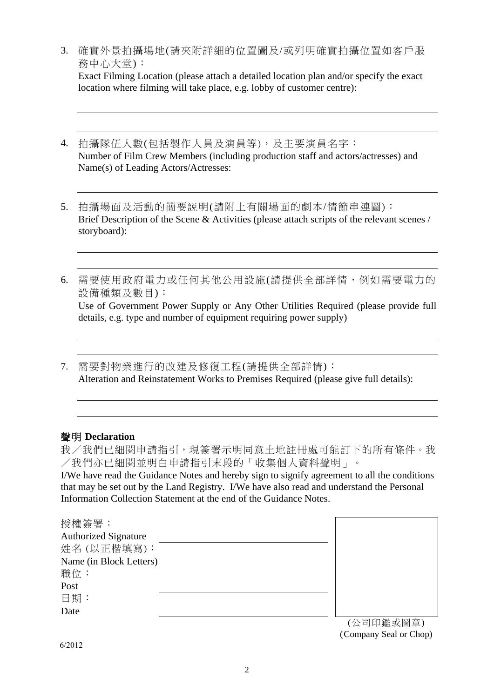3. 確實外景拍攝場地(請夾附詳細的位置圖及/或列明確實拍攝位置如客戶服 務中心大堂): Exact Filming Location (please attach a detailed location plan and/or specify the exact

location where filming will take place, e.g. lobby of customer centre):

- 4. 拍攝隊伍人數(包括製作人員及演員等),及主要演員名字: Number of Film Crew Members (including production staff and actors/actresses) and Name(s) of Leading Actors/Actresses:
- 5. 拍攝場面及活動的簡要説明(請附上有關場面的劇本/情節串連圖): Brief Description of the Scene & Activities (please attach scripts of the relevant scenes / storyboard):
- 6. 需要使用政府電力或任何其他公用設施(請提供全部詳情,例如需要電力的 設備種類及數目): Use of Government Power Supply or Any Other Utilities Required (please provide full details, e.g. type and number of equipment requiring power supply)
- 7. 需要對物業進行的改建及修復工程(請提供全部詳情): Alteration and Reinstatement Works to Premises Required (please give full details):

#### 聲明 **Declaration**

我/我們已細閱申請指引,現簽署示明同意土地註冊處可能訂下的所有條件。我 /我們亦已細閱並明白申請指引末段的「收集個人資料聲明」。

I/We have read the Guidance Notes and hereby sign to signify agreement to all the conditions that may be set out by the Land Registry. I/We have also read and understand the Personal Information Collection Statement at the end of the Guidance Notes.

| 授權簽署:                       |                        |
|-----------------------------|------------------------|
| <b>Authorized Signature</b> |                        |
| 姓名 (以正楷填寫):                 |                        |
| Name (in Block Letters)     |                        |
| 職位:                         |                        |
| Post                        |                        |
| 日期:                         |                        |
| Date                        |                        |
|                             | (公司印鑑或圖章)              |
|                             | (Company Seal or Chop) |

 $6/2012$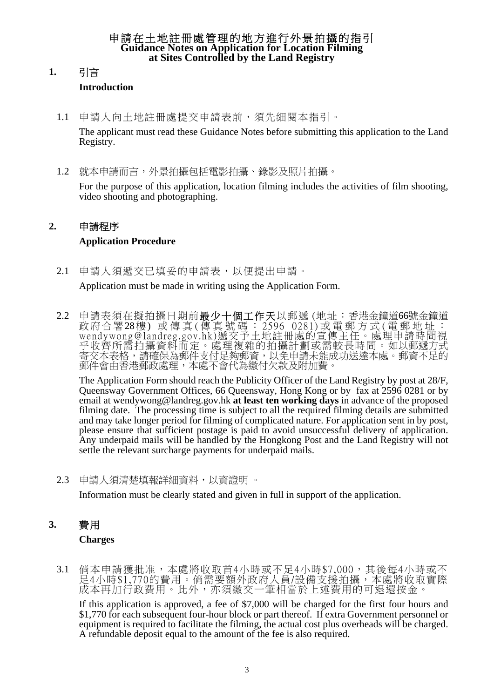#### 申請在土地註冊處管理的地方進行外景拍攝的指引 **Guidance Notes on Application for Location Filming at Sites Controlled by the Land Registry**

#### **1.** 引言 **Introduction**

1.1 申請人向土地註冊處提交申請表前,須先細閱本指引。

The applicant must read these Guidance Notes before submitting this application to the Land Registry.

1.2 就本申請而言,外景拍攝包括電影拍攝、錄影及照片拍攝。

For the purpose of this application, location filming includes the activities of film shooting, video shooting and photographing.

# **2.** 申請程序 **Application Procedure**

2.1 申請人須遞交已填妥的申請表,以便提出申請。

Application must be made in writing using the Application Form.

2.2 申請表須在擬拍攝日期前**最少十個工作天**以郵遞 (地址:香港金鐘道66號金鐘道 政府合署28樓) 或傳真(傳真號碼: 2596 0281)或電郵方式(電郵地址: wendywong@landreg.gov.hk)遞交予土地註冊處的宣傳主任。處理申請時間視 乎收齊所需拍攝資料而定。處理複雜的拍攝計劃或需較長時間。如以郵遞方式 寄交本表格,請確保為郵件支付足夠郵資,以免申請未能成功送達本處。郵資不足的 郵件會由香港郵政處理,本處不會代為繳付欠款及附加費。

> The Application Form should reach the Publicity Officer of the Land Registry by post at 28/F, Queensway Government Offices, 66 Queensway, Hong Kong or by fax at 2596 0281 or by email at wendywong@landreg.gov.hk **at least ten working days** in advance of the proposed filming date. The processing time is subject to all the required filming details are submitted and may take longer period for filming of complicated nature. For application sent in by post, please ensure that sufficient postage is paid to avoid unsuccessful delivery of application. Any underpaid mails will be handled by the Hongkong Post and the Land Registry will not settle the relevant surcharge payments for underpaid mails.

2.3 申請人須清楚填報詳細資料,以資證明 。

Information must be clearly stated and given in full in support of the application.

# **3.** 費用

**Charges** 

3.1 倘本申請獲批准,本處將收取首4小時或不足4小時\$7,000,其後每4小時或不 足4小時\$1,770的費用。倘需要額外政府人員/設備支援拍攝,本處將收取實際 成本再加行政費用。此外,亦須繳交一筆相當於上述費用的可退還按金。

If this application is approved, a fee of \$7,000 will be charged for the first four hours and \$1,770 for each subsequent four-hour block or part thereof. If extra Government personnel or equipment is required to facilitate the filming, the actual cost plus overheads will be charged. A refundable deposit equal to the amount of the fee is also required.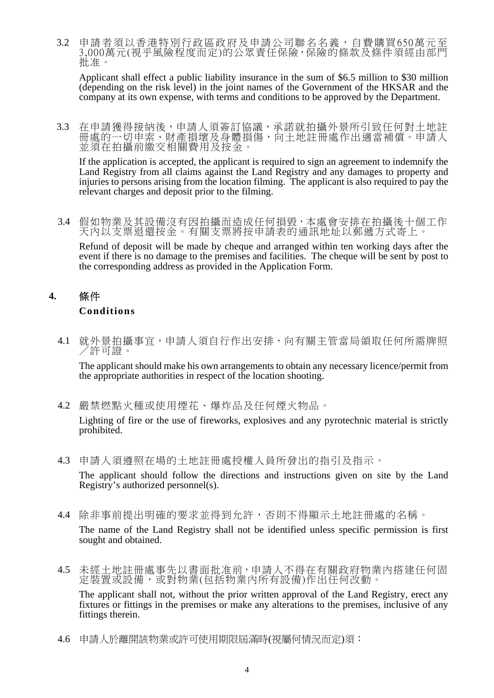3.2 申請者須以香港特別行政區政府及申請公司聯名名義,自費購買650萬元至 3,000萬元(視乎風險程度而定)的公眾責任保險,保險的條款及條件須經由部門 批准。

Applicant shall effect a public liability insurance in the sum of \$6.5 million to \$30 million (depending on the risk level) in the joint names of the Government of the HKSAR and the company at its own expense, with terms and conditions to be approved by the Department.

3.3 在申請獲得接納後,申請人須簽訂協議,承諾就拍攝外景所引致任何對土地註 冊處的一切申索、財產損壞及身體損傷,向土地註冊處作出適當補償。申請人 並須在拍攝前繳交相關費用及按金。

> If the application is accepted, the applicant is required to sign an agreement to indemnify the Land Registry from all claims against the Land Registry and any damages to property and injuries to persons arising from the location filming. The applicant is also required to pay the relevant charges and deposit prior to the filming.

 3.4 假如物業及其設備沒有因拍攝而造成任何損毀,本處會安排在拍攝後十個工作 天內以支票退還按金。有關支票將按申請表的通訊地址以郵遞方式寄上。

> Refund of deposit will be made by cheque and arranged within ten working days after the event if there is no damage to the premises and facilities. The cheque will be sent by post to the corresponding address as provided in the Application Form.

### **4.** 條件 **Conditions**

 4.1 就外景拍攝事宜,申請人須自行作出安排,向有關主管當局領取任何所需牌照 /許可證。

The applicant should make his own arrangements to obtain any necessary licence/permit from the appropriate authorities in respect of the location shooting.

4.2 嚴禁燃點火種或使用煙花、爆炸品及任何煙火物品。

Lighting of fire or the use of fireworks, explosives and any pyrotechnic material is strictly prohibited.

4.3 申請人須遵照在場的土地註冊處授權人員所發出的指引及指示。

The applicant should follow the directions and instructions given on site by the Land Registry's authorized personnel(s).

4.4 除非事前提出明確的要求並得到允許,否則不得顯示土地註冊處的名稱。

The name of the Land Registry shall not be identified unless specific permission is first sought and obtained.

 4.5 未經土地註冊處事先以書面批准前,申請人不得在有關政府物業內搭建任何固 定裝置或設備,或對物業(包括物業內所有設備)作出任何改動。

> The applicant shall not, without the prior written approval of the Land Registry, erect any fixtures or fittings in the premises or make any alterations to the premises, inclusive of any fittings therein.

4.6 申請人於離開該物業或許可使用期限屆滿時(視屬何情況而定)須: